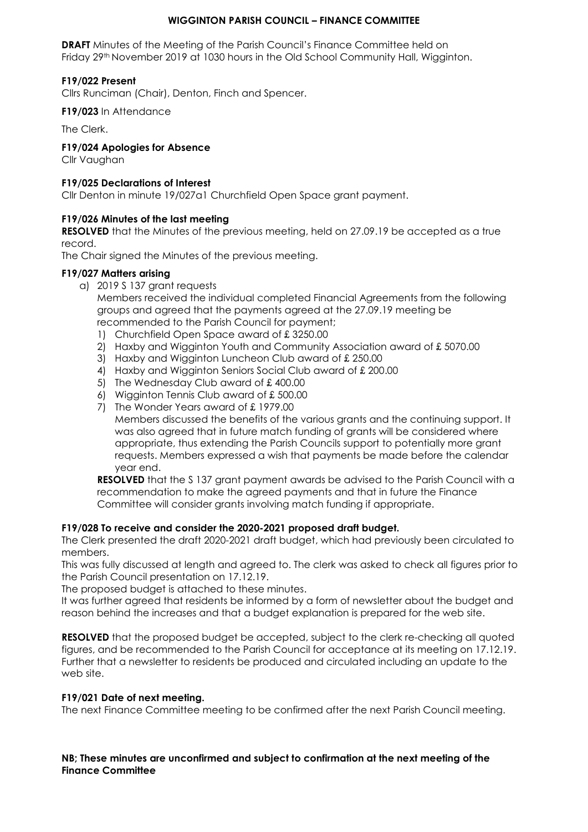#### **WIGGINTON PARISH COUNCIL – FINANCE COMMITTEE**

**DRAFT** Minutes of the Meeting of the Parish Council's Finance Committee held on Friday 29th November 2019 at 1030 hours in the Old School Community Hall, Wigginton.

#### **F19/022 Present**

Cllrs Runciman (Chair), Denton, Finch and Spencer.

**F19/023** In Attendance

The Clerk.

#### **F19/024 Apologies for Absence**

Cllr Vaughan

#### **F19/025 Declarations of Interest**

Cllr Denton in minute 19/027a1 Churchfield Open Space grant payment.

#### **F19/026 Minutes of the last meeting**

**RESOLVED** that the Minutes of the previous meeting, held on 27.09.19 be accepted as a true record.

The Chair signed the Minutes of the previous meeting.

#### **F19/027 Matters arising**

- a) 2019 S 137 grant requests Members received the individual completed Financial Agreements from the following groups and agreed that the payments agreed at the 27.09.19 meeting be recommended to the Parish Council for payment;
	- 1) Churchfield Open Space award of £ 3250.00
	- 2) Haxby and Wigginton Youth and Community Association award of £ 5070.00
	- 3) Haxby and Wigginton Luncheon Club award of £ 250.00
	- 4) Haxby and Wigginton Seniors Social Club award of £200.00
	- 5) The Wednesday Club award of £ 400.00
	- 6) Wigginton Tennis Club award of £ 500.00
	- 7) The Wonder Years award of £ 1979.00

Members discussed the benefits of the various grants and the continuing support. It was also agreed that in future match funding of grants will be considered where appropriate, thus extending the Parish Councils support to potentially more grant requests. Members expressed a wish that payments be made before the calendar year end.

**RESOLVED** that the S 137 grant payment awards be advised to the Parish Council with a recommendation to make the agreed payments and that in future the Finance Committee will consider grants involving match funding if appropriate.

#### **F19/028 To receive and consider the 2020-2021 proposed draft budget.**

The Clerk presented the draft 2020-2021 draft budget, which had previously been circulated to members.

This was fully discussed at length and agreed to. The clerk was asked to check all figures prior to the Parish Council presentation on 17.12.19.

The proposed budget is attached to these minutes.

It was further agreed that residents be informed by a form of newsletter about the budget and reason behind the increases and that a budget explanation is prepared for the web site.

**RESOLVED** that the proposed budget be accepted, subject to the clerk re-checking all quoted figures, and be recommended to the Parish Council for acceptance at its meeting on 17.12.19. Further that a newsletter to residents be produced and circulated including an update to the web site.

#### **F19/021 Date of next meeting.**

The next Finance Committee meeting to be confirmed after the next Parish Council meeting.

#### **NB; These minutes are unconfirmed and subject to confirmation at the next meeting of the Finance Committee**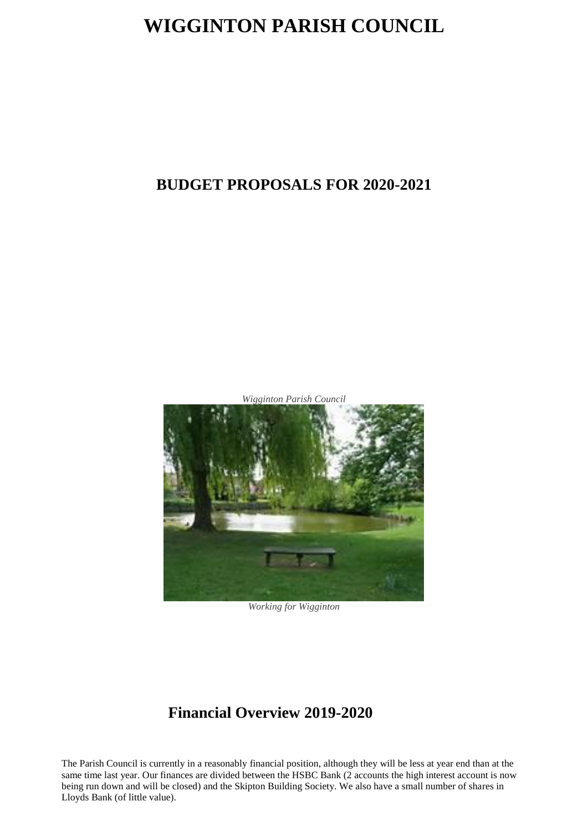# **WIGGINTON PARISH COUNCIL**

### **BUDGET PROPOSALS FOR 2020-2021**



*Working for Wigginton*

## **Financial Overview 2019-2020**

The Parish Council is currently in a reasonably financial position, although they will be less at year end than at the same time last year. Our finances are divided between the HSBC Bank (2 accounts the high interest account is now being run down and will be closed) and the Skipton Building Society. We also have a small number of shares in Lloyds Bank (of little value).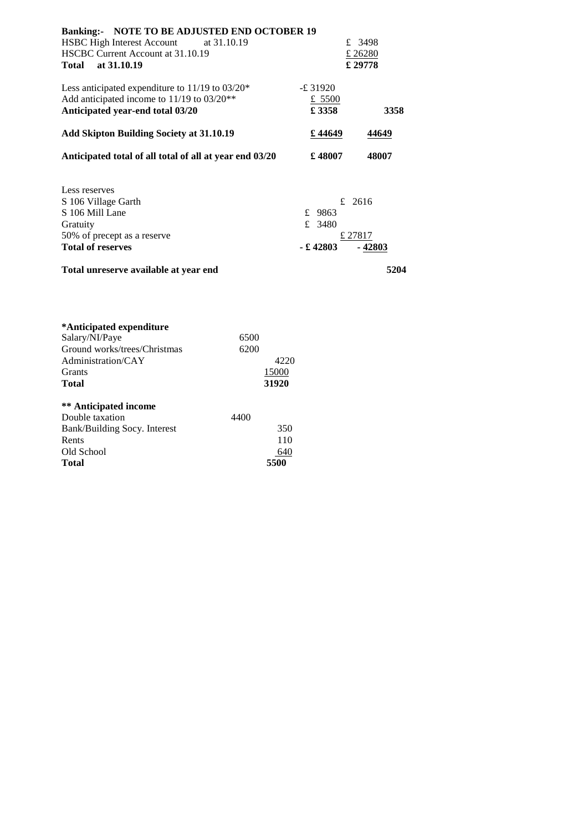| Banking:- NOTE TO BE ADJUSTED END OCTOBER 19            |              |         |
|---------------------------------------------------------|--------------|---------|
| HSBC High Interest Account at 31.10.19                  |              | £ 3498  |
| HSCBC Current Account at 31.10.19                       |              | £ 26280 |
| at 31.10.19<br>Total                                    | £ 29778      |         |
| Less anticipated expenditure to $11/19$ to $03/20*$     | $-£31920$    |         |
| Add anticipated income to $11/19$ to $03/20**$          | £ 5500       |         |
| Anticipated year-end total 03/20                        | £ 3358       | 3358    |
| <b>Add Skipton Building Society at 31.10.19</b>         | £ 44649      | 44649   |
| Anticipated total of all total of all at year end 03/20 | £48007       | 48007   |
| Less reserves                                           |              |         |
| S 106 Village Garth                                     | $\mathbf{f}$ | 2616    |
| S 106 Mill Lane                                         | £ 9863       |         |
| Gratuity                                                | £ 3480       |         |
| 50% of precept as a reserve                             |              | £ 27817 |
| <b>Total of reserves</b>                                | $-$ £ 42803  | - 42803 |
| Total unreserve available at year end                   |              | 5204    |

| *Anticipated expenditure     |       |      |
|------------------------------|-------|------|
| Salary/NI/Paye               | 6500  |      |
| Ground works/trees/Christmas | 6200  |      |
| Administration/CAY           |       | 4220 |
| <b>Grants</b>                | 15000 |      |
| <b>Total</b>                 | 31920 |      |
| ** Anticipated income        |       |      |
| Double taxation              | 4400  |      |
| Bank/Building Socy. Interest |       | 350  |
| Rents                        |       | 110  |
| Old School                   |       | 640  |
| <b>Total</b>                 |       |      |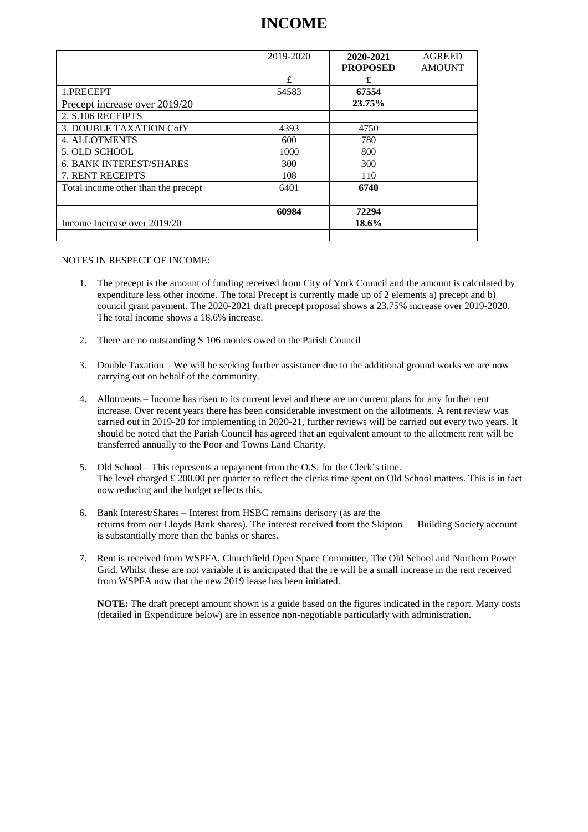## **INCOME**

|                                     | 2019-2020 | 2020-2021       | <b>AGREED</b> |
|-------------------------------------|-----------|-----------------|---------------|
|                                     |           | <b>PROPOSED</b> | <b>AMOUNT</b> |
|                                     | £         | £               |               |
| 1.PRECEPT                           | 54583     | 67554           |               |
| Precept increase over 2019/20       |           | 23.75%          |               |
| 2. S.106 RECEIPTS                   |           |                 |               |
| 3. DOUBLE TAXATION CofY             | 4393      | 4750            |               |
| <b>4. ALLOTMENTS</b>                | 600       | 780             |               |
| 5. OLD SCHOOL                       | 1000      | 800             |               |
| <b>6. BANK INTEREST/SHARES</b>      | 300       | 300             |               |
| <b>7. RENT RECEIPTS</b>             | 108       | 110             |               |
| Total income other than the precept | 6401      | 6740            |               |
|                                     |           |                 |               |
|                                     | 60984     | 72294           |               |
| Income Increase over 2019/20        |           | 18.6%           |               |
|                                     |           |                 |               |

#### NOTES IN RESPECT OF INCOME:

- 1. The precept is the amount of funding received from City of York Council and the amount is calculated by expenditure less other income. The total Precept is currently made up of 2 elements a) precept and b) council grant payment. The 2020-2021 draft precept proposal shows a 23.75% increase over 2019-2020. The total income shows a 18.6% increase.
- 2. There are no outstanding S 106 monies owed to the Parish Council
- 3. Double Taxation We will be seeking further assistance due to the additional ground works we are now carrying out on behalf of the community.
- 4. Allotments Income has risen to its current level and there are no current plans for any further rent increase. Over recent years there has been considerable investment on the allotments. A rent review was carried out in 2019-20 for implementing in 2020-21, further reviews will be carried out every two years. It should be noted that the Parish Council has agreed that an equivalent amount to the allotment rent will be transferred annually to the Poor and Towns Land Charity.
- 5. Old School This represents a repayment from the O.S. for the Clerk's time. The level charged  $\pounds$  200.00 per quarter to reflect the clerks time spent on Old School matters. This is in fact now reducing and the budget reflects this.
- 6. Bank Interest/Shares Interest from HSBC remains derisory (as are the returns from our Lloyds Bank shares). The interest received from the Skipton Building Society account is substantially more than the banks or shares.
- 7. Rent is received from WSPFA, Churchfield Open Space Committee, The Old School and Northern Power Grid. Whilst these are not variable it is anticipated that the re will be a small increase in the rent received from WSPFA now that the new 2019 lease has been initiated.

**NOTE:** The draft precept amount shown is a guide based on the figures indicated in the report. Many costs (detailed in Expenditure below) are in essence non-negotiable particularly with administration.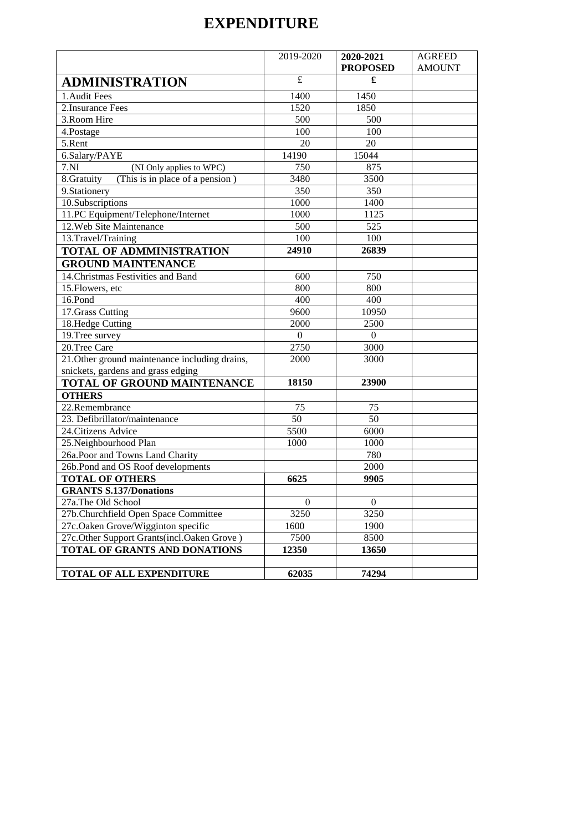# **EXPENDITURE**

|                                                | 2019-2020        | 2020-2021        | <b>AGREED</b> |
|------------------------------------------------|------------------|------------------|---------------|
|                                                |                  | <b>PROPOSED</b>  | <b>AMOUNT</b> |
| <b>ADMINISTRATION</b>                          | $\pounds$        | £                |               |
| 1. Audit Fees                                  | 1400             | 1450             |               |
| 2. Insurance Fees                              | 1520             | 1850             |               |
| 3. Room Hire                                   | 500              | 500              |               |
| 4.Postage                                      | 100              | 100              |               |
| 5.Rent                                         | 20               | 20               |               |
| 6.Salary/PAYE                                  | 14190            | 15044            |               |
| 7.NI<br>(NI Only applies to WPC)               | 750              | 875              |               |
| (This is in place of a pension)<br>8. Gratuity | 3480             | 3500             |               |
| 9. Stationery                                  | 350              | 350              |               |
| 10.Subscriptions                               | 1000             | 1400             |               |
| 11.PC Equipment/Telephone/Internet             | 1000             | 1125             |               |
| 12. Web Site Maintenance                       | 500              | 525              |               |
| 13.Travel/Training                             | 100              | 100              |               |
| TOTAL OF ADMMINISTRATION                       | 24910            | 26839            |               |
| <b>GROUND MAINTENANCE</b>                      |                  |                  |               |
| 14. Christmas Festivities and Band             | 600              | 750              |               |
| 15. Flowers, etc                               | 800              | 800              |               |
| 16.Pond                                        | 400              | 400              |               |
| 17. Grass Cutting                              | 9600             | 10950            |               |
| 18.Hedge Cutting                               | 2000             | 2500             |               |
| 19. Tree survey                                | $\boldsymbol{0}$ | $\boldsymbol{0}$ |               |
| 20.Tree Care                                   | 2750             | 3000             |               |
| 21. Other ground maintenance including drains, | 2000             | 3000             |               |
| snickets, gardens and grass edging             |                  |                  |               |
| TOTAL OF GROUND MAINTENANCE                    | 18150            | 23900            |               |
| <b>OTHERS</b>                                  |                  |                  |               |
| 22.Remembrance                                 | 75               | 75               |               |
| 23. Defibrillator/maintenance                  | $\overline{50}$  | 50               |               |
| 24. Citizens Advice                            | 5500             | 6000             |               |
| 25. Neighbourhood Plan                         | 1000             | 1000             |               |
| 26a. Poor and Towns Land Charity               |                  | 780              |               |
| 26b.Pond and OS Roof developments              |                  | 2000             |               |
| <b>TOTAL OF OTHERS</b>                         | 6625             | 9905             |               |
| <b>GRANTS S.137/Donations</b>                  |                  |                  |               |
| 27a.The Old School                             | $\boldsymbol{0}$ | $\boldsymbol{0}$ |               |
| 27b.Churchfield Open Space Committee           | 3250             | 3250             |               |
| 27c.Oaken Grove/Wigginton specific             | 1600             | 1900             |               |
| 27c.Other Support Grants(incl.Oaken Grove)     | 7500             | 8500             |               |
| TOTAL OF GRANTS AND DONATIONS                  | 12350            | 13650            |               |
|                                                |                  |                  |               |
| TOTAL OF ALL EXPENDITURE                       | 62035            | 74294            |               |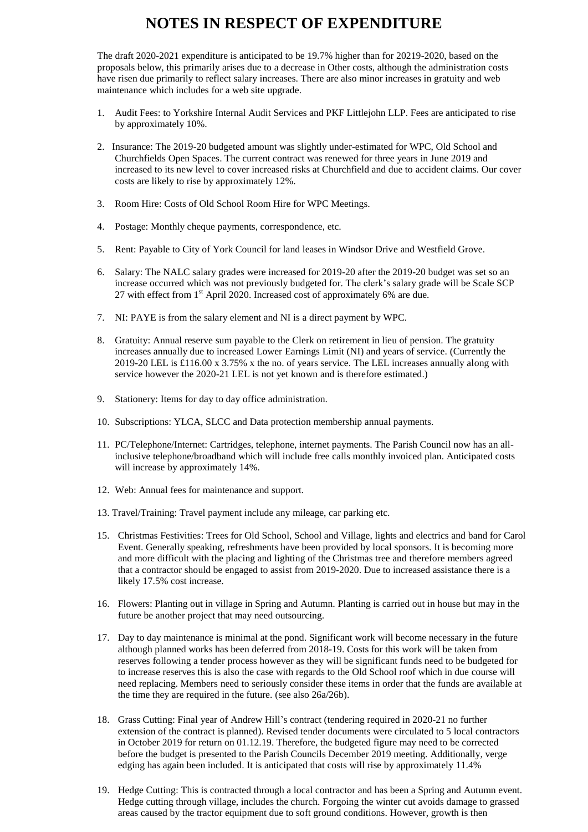### **NOTES IN RESPECT OF EXPENDITURE**

The draft 2020-2021 expenditure is anticipated to be 19.7% higher than for 20219-2020, based on the proposals below, this primarily arises due to a decrease in Other costs, although the administration costs have risen due primarily to reflect salary increases. There are also minor increases in gratuity and web maintenance which includes for a web site upgrade.

- 1. Audit Fees: to Yorkshire Internal Audit Services and PKF Littlejohn LLP. Fees are anticipated to rise by approximately 10%.
- 2. Insurance: The 2019-20 budgeted amount was slightly under-estimated for WPC, Old School and Churchfields Open Spaces. The current contract was renewed for three years in June 2019 and increased to its new level to cover increased risks at Churchfield and due to accident claims. Our cover costs are likely to rise by approximately 12%.
- 3. Room Hire: Costs of Old School Room Hire for WPC Meetings.
- 4. Postage: Monthly cheque payments, correspondence, etc.
- 5. Rent: Payable to City of York Council for land leases in Windsor Drive and Westfield Grove.
- 6. Salary: The NALC salary grades were increased for 2019-20 after the 2019-20 budget was set so an increase occurred which was not previously budgeted for. The clerk's salary grade will be Scale SCP 27 with effect from  $1<sup>st</sup>$  April 2020. Increased cost of approximately 6% are due.
- 7. NI: PAYE is from the salary element and NI is a direct payment by WPC.
- 8. Gratuity: Annual reserve sum payable to the Clerk on retirement in lieu of pension. The gratuity increases annually due to increased Lower Earnings Limit (NI) and years of service. (Currently the 2019-20 LEL is £116.00 x 3.75% x the no. of years service. The LEL increases annually along with service however the 2020-21 LEL is not yet known and is therefore estimated.)
- 9. Stationery: Items for day to day office administration.
- 10. Subscriptions: YLCA, SLCC and Data protection membership annual payments.
- 11. PC/Telephone/Internet: Cartridges, telephone, internet payments. The Parish Council now has an allinclusive telephone/broadband which will include free calls monthly invoiced plan. Anticipated costs will increase by approximately 14%.
- 12. Web: Annual fees for maintenance and support.
- 13. Travel/Training: Travel payment include any mileage, car parking etc.
- 15. Christmas Festivities: Trees for Old School, School and Village, lights and electrics and band for Carol Event. Generally speaking, refreshments have been provided by local sponsors. It is becoming more and more difficult with the placing and lighting of the Christmas tree and therefore members agreed that a contractor should be engaged to assist from 2019-2020. Due to increased assistance there is a likely 17.5% cost increase.
- 16. Flowers: Planting out in village in Spring and Autumn. Planting is carried out in house but may in the future be another project that may need outsourcing.
- 17. Day to day maintenance is minimal at the pond. Significant work will become necessary in the future although planned works has been deferred from 2018-19. Costs for this work will be taken from reserves following a tender process however as they will be significant funds need to be budgeted for to increase reserves this is also the case with regards to the Old School roof which in due course will need replacing. Members need to seriously consider these items in order that the funds are available at the time they are required in the future. (see also 26a/26b).
- 18. Grass Cutting: Final year of Andrew Hill's contract (tendering required in 2020-21 no further extension of the contract is planned). Revised tender documents were circulated to 5 local contractors in October 2019 for return on 01.12.19. Therefore, the budgeted figure may need to be corrected before the budget is presented to the Parish Councils December 2019 meeting. Additionally, verge edging has again been included. It is anticipated that costs will rise by approximately 11.4%
- 19. Hedge Cutting: This is contracted through a local contractor and has been a Spring and Autumn event. Hedge cutting through village, includes the church. Forgoing the winter cut avoids damage to grassed areas caused by the tractor equipment due to soft ground conditions. However, growth is then